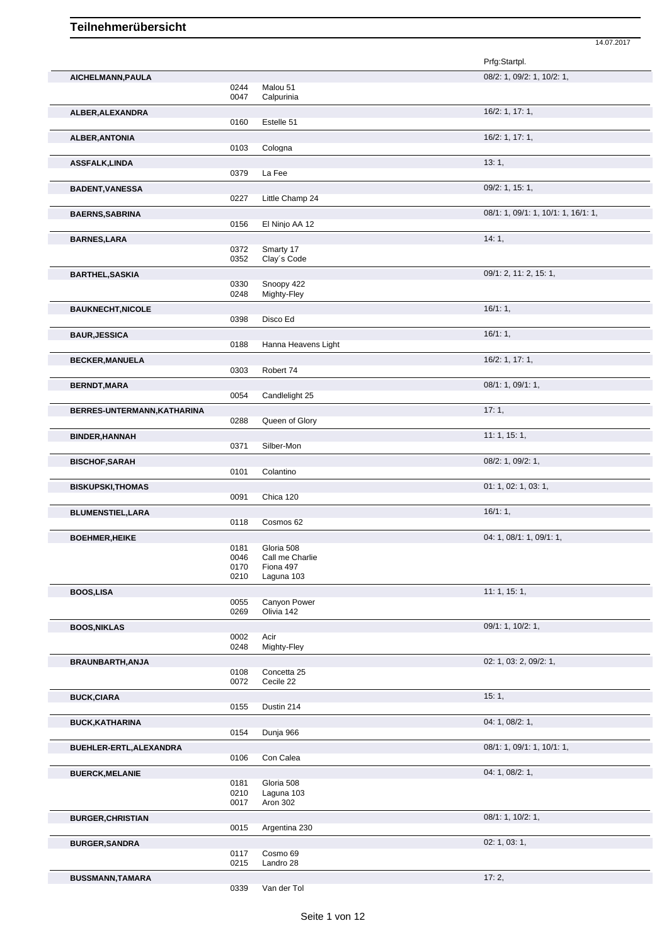|                             |              |                          | Prfg:Startpl.                       |
|-----------------------------|--------------|--------------------------|-------------------------------------|
| AICHELMANN, PAULA           |              |                          | 08/2: 1, 09/2: 1, 10/2: 1,          |
|                             | 0244<br>0047 | Malou 51<br>Calpurinia   |                                     |
| ALBER, ALEXANDRA            |              |                          | 16/2: 1, 17: 1,                     |
|                             | 0160         | Estelle 51               |                                     |
| <b>ALBER, ANTONIA</b>       |              |                          | 16/2: 1, 17: 1,                     |
|                             | 0103         | Cologna                  |                                     |
| <b>ASSFALK,LINDA</b>        |              |                          | 13:1,                               |
|                             | 0379         | La Fee                   |                                     |
| <b>BADENT, VANESSA</b>      |              |                          | 09/2: 1, 15: 1,                     |
|                             | 0227         | Little Champ 24          |                                     |
| <b>BAERNS, SABRINA</b>      |              |                          | 08/1: 1, 09/1: 1, 10/1: 1, 16/1: 1, |
|                             | 0156         | El Ninjo AA 12           |                                     |
| <b>BARNES, LARA</b>         | 0372         | Smarty 17                | 14:1,                               |
|                             | 0352         | Clay's Code              |                                     |
| <b>BARTHEL, SASKIA</b>      |              |                          | 09/1: 2, 11: 2, 15: 1,              |
|                             | 0330         | Snoopy 422               |                                     |
|                             | 0248         | Mighty-Fley              |                                     |
| <b>BAUKNECHT, NICOLE</b>    |              |                          | 16/1:1,                             |
|                             | 0398         | Disco Ed                 |                                     |
| <b>BAUR, JESSICA</b>        | 0188         | Hanna Heavens Light      | 16/1:1,                             |
|                             |              |                          |                                     |
| <b>BECKER, MANUELA</b>      | 0303         | Robert 74                | 16/2: 1, 17: 1,                     |
|                             |              |                          | 08/1: 1, 09/1: 1,                   |
| <b>BERNDT, MARA</b>         | 0054         | Candlelight 25           |                                     |
| BERRES-UNTERMANN, KATHARINA |              |                          | 17:1,                               |
|                             | 0288         | Queen of Glory           |                                     |
| <b>BINDER, HANNAH</b>       |              |                          | 11:1, 15:1,                         |
|                             | 0371         | Silber-Mon               |                                     |
| <b>BISCHOF, SARAH</b>       |              |                          | 08/2: 1, 09/2: 1,                   |
|                             | 0101         | Colantino                |                                     |
| <b>BISKUPSKI, THOMAS</b>    |              |                          | 01: 1, 02: 1, 03: 1,                |
|                             | 0091         | Chica 120                |                                     |
| <b>BLUMENSTIEL, LARA</b>    |              |                          | 16/1:1,                             |
|                             | 0118         | Cosmos 62                |                                     |
| <b>BOEHMER, HEIKE</b>       | 0181         | Gloria 508               | 04: 1, 08/1: 1, 09/1: 1,            |
|                             | 0046         | Call me Charlie          |                                     |
|                             | 0170         | Fiona 497<br>Laguna 103  |                                     |
|                             | 0210         |                          |                                     |
| <b>BOOS,LISA</b>            | 0055         | Canyon Power             | 11:1, 15:1,                         |
|                             | 0269         | Olivia 142               |                                     |
| <b>BOOS, NIKLAS</b>         |              |                          | 09/1: 1, 10/2: 1,                   |
|                             | 0002         | Acir                     |                                     |
|                             | 0248         | Mighty-Fley              |                                     |
| BRAUNBARTH, ANJA            | 0108         | Concetta 25              | 02: 1, 03: 2, 09/2: 1,              |
|                             | 0072         | Cecile 22                |                                     |
| <b>BUCK, CIARA</b>          |              |                          | 15:1,                               |
|                             | 0155         | Dustin 214               |                                     |
| <b>BUCK, KATHARINA</b>      |              |                          | 04: 1, 08/2: 1,                     |
|                             | 0154         | Dunja 966                |                                     |
| BUEHLER-ERTL, ALEXANDRA     |              |                          | 08/1: 1, 09/1: 1, 10/1: 1,          |
|                             | 0106         | Con Calea                |                                     |
| <b>BUERCK, MELANIE</b>      |              |                          | 04: 1, 08/2: 1,                     |
|                             | 0181<br>0210 | Gloria 508<br>Laguna 103 |                                     |
|                             | 0017         | Aron 302                 |                                     |
| <b>BURGER, CHRISTIAN</b>    |              |                          | 08/1: 1, 10/2: 1,                   |
|                             | 0015         | Argentina 230            |                                     |
| <b>BURGER, SANDRA</b>       |              |                          | 02: 1, 03: 1,                       |
|                             | 0117         | Cosmo 69                 |                                     |
|                             | 0215         | Landro 28                |                                     |
| <b>BUSSMANN,TAMARA</b>      |              |                          | 17:2,                               |

14.07.2017

0339 Van der Tol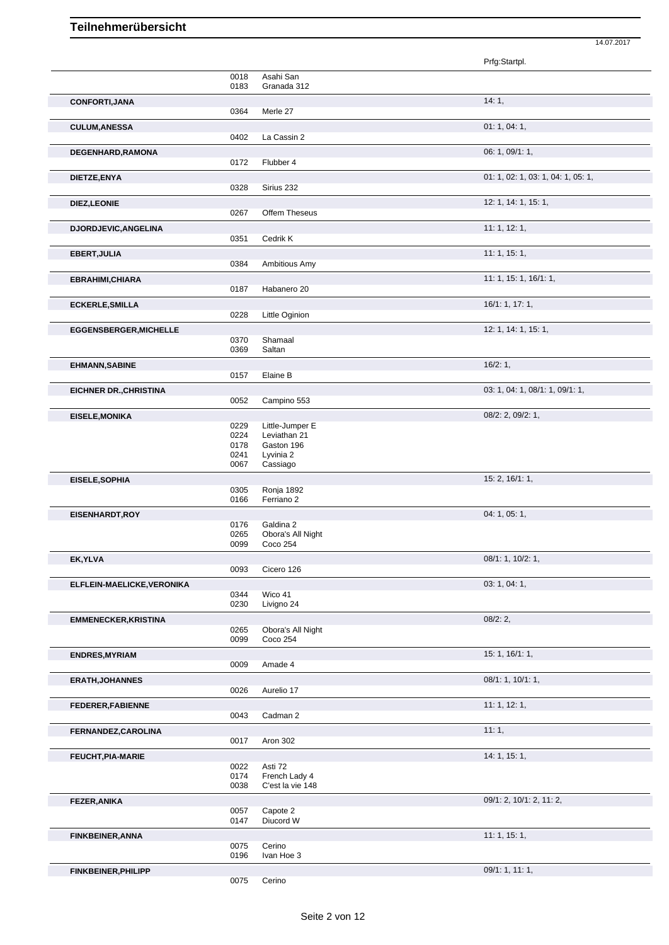|                               |              |                                   | Prfg:Startpl.                      |
|-------------------------------|--------------|-----------------------------------|------------------------------------|
|                               | 0018         | Asahi San                         |                                    |
|                               | 0183         | Granada 312                       |                                    |
| CONFORTI, JANA                |              |                                   | 14:1,                              |
|                               | 0364         | Merle 27                          |                                    |
|                               |              |                                   | 01: 1, 04: 1,                      |
| <b>CULUM, ANESSA</b>          | 0402         | La Cassin 2                       |                                    |
|                               |              |                                   |                                    |
| DEGENHARD, RAMONA             |              |                                   | 06: 1, 09/1: 1,                    |
|                               | 0172         | Flubber 4                         |                                    |
| DIETZE, ENYA                  |              |                                   | 01: 1, 02: 1, 03: 1, 04: 1, 05: 1, |
|                               | 0328         | Sirius 232                        |                                    |
| DIEZ, LEONIE                  |              |                                   | 12: 1, 14: 1, 15: 1,               |
|                               | 0267         | Offem Theseus                     |                                    |
| DJORDJEVIC, ANGELINA          |              |                                   | 11: 1, 12: 1,                      |
|                               | 0351         | Cedrik K                          |                                    |
|                               |              |                                   | 11: 1, 15: 1,                      |
| EBERT, JULIA                  | 0384         | Ambitious Amy                     |                                    |
|                               |              |                                   |                                    |
| EBRAHIMI, CHIARA              |              |                                   | 11: 1, 15: 1, 16/1: 1,             |
|                               | 0187         | Habanero 20                       |                                    |
| <b>ECKERLE, SMILLA</b>        |              |                                   | 16/1: 1, 17: 1,                    |
|                               | 0228         | Little Oginion                    |                                    |
| <b>EGGENSBERGER, MICHELLE</b> |              |                                   | 12: 1, 14: 1, 15: 1,               |
|                               | 0370         | Shamaal                           |                                    |
|                               | 0369         | Saltan                            |                                    |
| <b>EHMANN, SABINE</b>         |              |                                   | 16/2:1,                            |
|                               | 0157         | Elaine B                          |                                    |
| <b>EICHNER DR., CHRISTINA</b> |              |                                   | 03: 1, 04: 1, 08/1: 1, 09/1: 1,    |
|                               | 0052         | Campino 553                       |                                    |
|                               |              |                                   | 08/2: 2, 09/2: 1,                  |
| <b>EISELE, MONIKA</b>         | 0229         | Little-Jumper E                   |                                    |
|                               | 0224         | Leviathan 21                      |                                    |
|                               | 0178         | Gaston 196                        |                                    |
|                               | 0241         | Lyvinia 2                         |                                    |
|                               | 0067         | Cassiago                          |                                    |
| EISELE, SOPHIA                |              |                                   | 15: 2, 16/1: 1,                    |
|                               | 0305         | Ronja 1892                        |                                    |
|                               | 0166         | Ferriano 2                        |                                    |
| EISENHARDT, ROY               |              |                                   | 04: 1, 05: 1,                      |
|                               | 0176         | Galdina 2                         |                                    |
|                               | 0265         | Obora's All Night                 |                                    |
|                               | 0099         | <b>Coco 254</b>                   |                                    |
| EK, YLVA                      |              |                                   | 08/1: 1, 10/2: 1,                  |
|                               | 0093         | Cicero 126                        |                                    |
| ELFLEIN-MAELICKE, VERONIKA    |              |                                   | 03: 1, 04: 1,                      |
|                               | 0344         | Wico 41                           |                                    |
|                               | 0230         | Livigno 24                        |                                    |
| <b>EMMENECKER, KRISTINA</b>   |              |                                   | 08/2:2,                            |
|                               | 0265         | Obora's All Night                 |                                    |
|                               | 0099         | Coco 254                          |                                    |
| <b>ENDRES, MYRIAM</b>         |              |                                   | 15: 1, 16/1: 1,                    |
|                               | 0009         | Amade 4                           |                                    |
| <b>ERATH, JOHANNES</b>        |              |                                   | 08/1: 1, 10/1: 1,                  |
|                               | 0026         | Aurelio 17                        |                                    |
| FEDERER, FABIENNE             |              |                                   | 11: 1, 12: 1,                      |
|                               | 0043         | Cadman 2                          |                                    |
|                               |              |                                   |                                    |
| FERNANDEZ, CAROLINA           |              |                                   | 11:1,                              |
|                               | 0017         | Aron 302                          |                                    |
| FEUCHT, PIA-MARIE             |              |                                   | 14: 1, 15: 1,                      |
|                               | 0022         | Asti 72                           |                                    |
|                               | 0174<br>0038 | French Lady 4<br>C'est la vie 148 |                                    |
|                               |              |                                   |                                    |
| <b>FEZER, ANIKA</b>           |              |                                   | 09/1: 2, 10/1: 2, 11: 2,           |
|                               | 0057<br>0147 | Capote 2<br>Diucord W             |                                    |
|                               |              |                                   |                                    |
| <b>FINKBEINER, ANNA</b>       |              |                                   | 11: 1, 15: 1,                      |
|                               | 0075<br>0196 | Cerino<br>Ivan Hoe 3              |                                    |
|                               |              |                                   |                                    |
|                               |              |                                   |                                    |
| <b>FINKBEINER, PHILIPP</b>    | 0075         | Cerino                            | 09/1: 1, 11: 1,                    |

14.07.2017

Cerino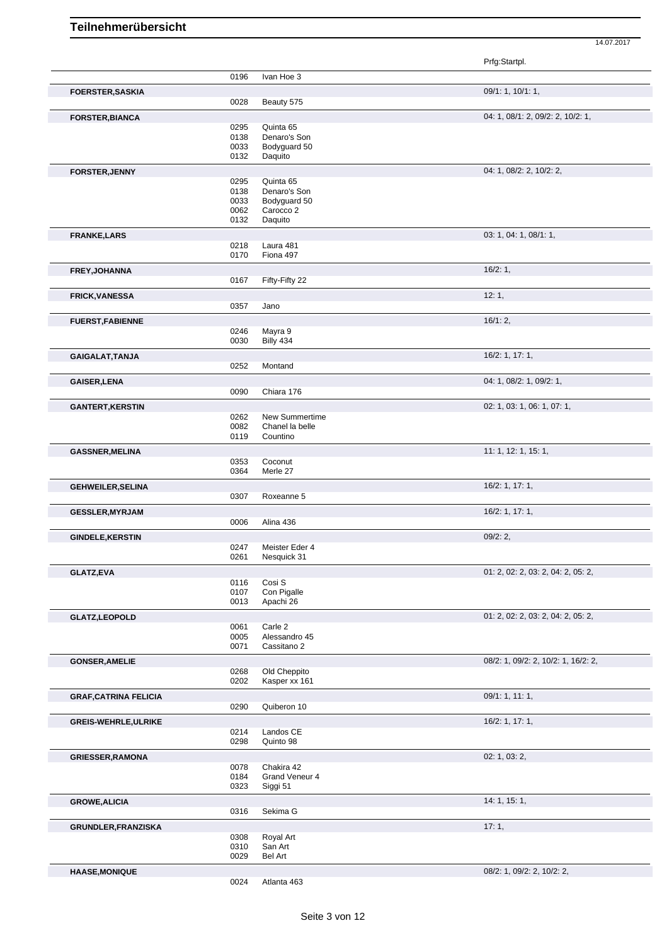|                              |              |                           | Prfg:Startpl.                       |
|------------------------------|--------------|---------------------------|-------------------------------------|
|                              | 0196         | Ivan Hoe 3                |                                     |
| <b>FOERSTER, SASKIA</b>      |              |                           | 09/1: 1, 10/1: 1,                   |
|                              | 0028         | Beauty 575                |                                     |
| <b>FORSTER, BIANCA</b>       |              |                           | 04: 1, 08/1: 2, 09/2: 2, 10/2: 1,   |
|                              | 0295         | Quinta 65                 |                                     |
|                              | 0138         | Denaro's Son              |                                     |
|                              | 0033         | Bodyguard 50              |                                     |
|                              | 0132         | Daquito                   |                                     |
| <b>FORSTER, JENNY</b>        |              |                           | 04: 1, 08/2: 2, 10/2: 2,            |
|                              | 0295         | Quinta 65                 |                                     |
|                              | 0138         | Denaro's Son              |                                     |
|                              | 0033<br>0062 | Bodyguard 50<br>Carocco 2 |                                     |
|                              | 0132         | Daquito                   |                                     |
|                              |              |                           |                                     |
| <b>FRANKE,LARS</b>           | 0218         | Laura 481                 | 03: 1, 04: 1, 08/1: 1,              |
|                              | 0170         | Fiona 497                 |                                     |
| FREY, JOHANNA                |              |                           | 16/2:1,                             |
|                              | 0167         | Fifty-Fifty 22            |                                     |
|                              |              |                           | 12:1,                               |
| <b>FRICK, VANESSA</b>        | 0357         | Jano                      |                                     |
|                              |              |                           | 16/1:2,                             |
| <b>FUERST, FABIENNE</b>      | 0246         | Mayra 9                   |                                     |
|                              | 0030         | Billy 434                 |                                     |
| GAIGALAT, TANJA              |              |                           | 16/2: 1, 17: 1,                     |
|                              | 0252         | Montand                   |                                     |
| <b>GAISER, LENA</b>          |              |                           | 04: 1, 08/2: 1, 09/2: 1,            |
|                              | 0090         | Chiara 176                |                                     |
| <b>GANTERT, KERSTIN</b>      |              |                           | 02: 1, 03: 1, 06: 1, 07: 1,         |
|                              | 0262         | New Summertime            |                                     |
|                              | 0082         | Chanel la belle           |                                     |
|                              | 0119         | Countino                  |                                     |
| <b>GASSNER, MELINA</b>       |              |                           | 11: 1, 12: 1, 15: 1,                |
|                              | 0353         | Coconut                   |                                     |
|                              | 0364         | Merle 27                  |                                     |
| <b>GEHWEILER, SELINA</b>     |              |                           | 16/2: 1, 17: 1,                     |
|                              | 0307         | Roxeanne 5                |                                     |
| <b>GESSLER, MYRJAM</b>       | 0006         | Alina 436                 | 16/2: 1, 17: 1,                     |
|                              |              |                           |                                     |
| <b>GINDELE, KERSTIN</b>      | 0247         | Meister Eder 4            | 09/2:2,                             |
|                              | 0261         | Nesquick 31               |                                     |
| GLATZ,EVA                    |              |                           | 01: 2, 02: 2, 03: 2, 04: 2, 05: 2,  |
|                              | 0116         | Cosi S                    |                                     |
|                              | 0107         | Con Pigalle               |                                     |
|                              | 0013         | Apachi 26                 |                                     |
| <b>GLATZ,LEOPOLD</b>         |              |                           | 01: 2, 02: 2, 03: 2, 04: 2, 05: 2,  |
|                              | 0061         | Carle 2                   |                                     |
|                              | 0005         | Alessandro 45             |                                     |
|                              | 0071         | Cassitano 2               |                                     |
| <b>GONSER, AMELIE</b>        |              |                           | 08/2: 1, 09/2: 2, 10/2: 1, 16/2: 2, |
|                              | 0268         | Old Cheppito              |                                     |
|                              | 0202         | Kasper xx 161             |                                     |
| <b>GRAF, CATRINA FELICIA</b> |              |                           | 09/1: 1, 11: 1,                     |
|                              | 0290         | Quiberon 10               |                                     |
| GREIS-WEHRLE, ULRIKE         |              |                           | 16/2: 1, 17: 1,                     |
|                              | 0214<br>0298 | Landos CE<br>Quinto 98    |                                     |
|                              |              |                           |                                     |
| <b>GRIESSER, RAMONA</b>      |              | Chakira 42                | 02: 1, 03: 2,                       |
|                              | 0078<br>0184 | Grand Veneur 4            |                                     |
|                              | 0323         | Siggi 51                  |                                     |
| <b>GROWE, ALICIA</b>         |              |                           | 14: 1, 15: 1,                       |
|                              | 0316         | Sekima G                  |                                     |
|                              |              |                           | 17:1,                               |
| GRUNDLER, FRANZISKA          | 0308         | Royal Art                 |                                     |
|                              | 0310         | San Art                   |                                     |
|                              | 0029         | Bel Art                   |                                     |
| <b>HAASE, MONIQUE</b>        |              |                           | 08/2: 1, 09/2: 2, 10/2: 2,          |
|                              | 0024         | Atlanta 463               |                                     |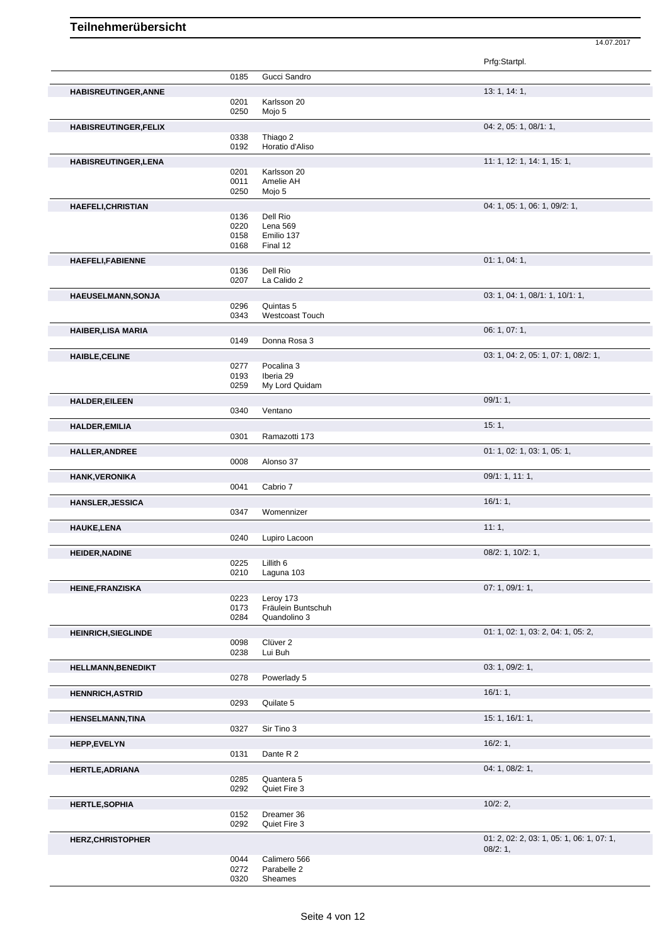|                              |              |                             | Prfg:Startpl.                             |
|------------------------------|--------------|-----------------------------|-------------------------------------------|
|                              | 0185         | Gucci Sandro                |                                           |
| <b>HABISREUTINGER, ANNE</b>  |              |                             | 13: 1, 14: 1,                             |
|                              | 0201         | Karlsson 20                 |                                           |
|                              | 0250         | Mojo 5                      |                                           |
| <b>HABISREUTINGER, FELIX</b> |              |                             | 04: 2, 05: 1, 08/1: 1,                    |
|                              | 0338         | Thiago 2                    |                                           |
|                              | 0192         | Horatio d'Aliso             |                                           |
| <b>HABISREUTINGER, LENA</b>  |              |                             | 11: 1, 12: 1, 14: 1, 15: 1,               |
|                              | 0201         | Karlsson 20                 |                                           |
|                              | 0011         | Amelie AH                   |                                           |
|                              | 0250         | Mojo 5                      |                                           |
| <b>HAEFELI, CHRISTIAN</b>    |              |                             | 04: 1, 05: 1, 06: 1, 09/2: 1,             |
|                              | 0136         | Dell Rio                    |                                           |
|                              | 0220         | Lena 569                    |                                           |
|                              | 0158<br>0168 | Emilio 137<br>Final 12      |                                           |
|                              |              |                             |                                           |
| <b>HAEFELI,FABIENNE</b>      |              |                             | 01: 1, 04: 1,                             |
|                              | 0136         | Dell Rio                    |                                           |
|                              | 0207         | La Calido 2                 |                                           |
| HAEUSELMANN, SONJA           |              |                             | 03: 1, 04: 1, 08/1: 1, 10/1: 1,           |
|                              | 0296         | Quintas 5                   |                                           |
|                              | 0343         | <b>Westcoast Touch</b>      |                                           |
| <b>HAIBER,LISA MARIA</b>     |              |                             | 06: 1, 07: 1,                             |
|                              | 0149         | Donna Rosa 3                |                                           |
| <b>HAIBLE, CELINE</b>        |              |                             | 03: 1, 04: 2, 05: 1, 07: 1, 08/2: 1,      |
|                              | 0277         | Pocalina 3                  |                                           |
|                              | 0193         | Iberia 29                   |                                           |
|                              | 0259         | My Lord Quidam              |                                           |
| <b>HALDER, EILEEN</b>        |              |                             | 09/1:1,                                   |
|                              | 0340         | Ventano                     |                                           |
| <b>HALDER, EMILIA</b>        |              |                             | 15:1,                                     |
|                              | 0301         | Ramazotti 173               |                                           |
| <b>HALLER, ANDREE</b>        |              |                             | 01: 1, 02: 1, 03: 1, 05: 1,               |
|                              | 0008         | Alonso 37                   |                                           |
|                              |              |                             | 09/1: 1, 11: 1,                           |
| <b>HANK, VERONIKA</b>        | 0041         | Cabrio 7                    |                                           |
|                              |              |                             |                                           |
| <b>HANSLER, JESSICA</b>      |              |                             | 16/1:1,                                   |
|                              | 0347         | Womennizer                  |                                           |
| <b>HAUKE,LENA</b>            |              |                             | 11:1,                                     |
|                              | 0240         | Lupiro Lacoon               |                                           |
| <b>HEIDER, NADINE</b>        |              |                             | 08/2: 1, 10/2: 1,                         |
|                              |              | 0225 Lillith 6              |                                           |
|                              | 0210         | Laguna 103                  |                                           |
| <b>HEINE, FRANZISKA</b>      |              |                             | 07: 1, 09/1: 1,                           |
|                              | 0223         | Leroy 173                   |                                           |
|                              | 0173         | Fräulein Buntschuh          |                                           |
|                              | 0284         | Quandolino 3                |                                           |
| <b>HEINRICH, SIEGLINDE</b>   |              |                             | 01: 1, 02: 1, 03: 2, 04: 1, 05: 2,        |
|                              | 0098         | Clüver <sub>2</sub>         |                                           |
|                              | 0238         | Lui Buh                     |                                           |
| <b>HELLMANN, BENEDIKT</b>    |              |                             | 03: 1, 09/2: 1,                           |
|                              | 0278         | Powerlady 5                 |                                           |
| <b>HENNRICH, ASTRID</b>      |              |                             | 16/1:1,                                   |
|                              | 0293         | Quilate 5                   |                                           |
| <b>HENSELMANN, TINA</b>      |              |                             | 15: 1, 16/1: 1,                           |
|                              | 0327         | Sir Tino 3                  |                                           |
|                              |              |                             | 16/2:1,                                   |
| <b>HEPP,EVELYN</b>           | 0131         | Dante R 2                   |                                           |
|                              |              |                             |                                           |
| <b>HERTLE, ADRIANA</b>       |              |                             | 04: 1, 08/2: 1,                           |
|                              | 0285<br>0292 | Quantera 5<br>Quiet Fire 3  |                                           |
|                              |              |                             |                                           |
| <b>HERTLE, SOPHIA</b>        |              |                             | 10/2:2,                                   |
|                              | 0152         | Dreamer 36                  |                                           |
|                              | 0292         | Quiet Fire 3                |                                           |
| <b>HERZ, CHRISTOPHER</b>     |              |                             | 01: 2, 02: 2, 03: 1, 05: 1, 06: 1, 07: 1, |
|                              |              |                             | 08/2:1,                                   |
|                              | 0044<br>0272 | Calimero 566<br>Parabelle 2 |                                           |
|                              | 0320         | Sheames                     |                                           |
|                              |              |                             |                                           |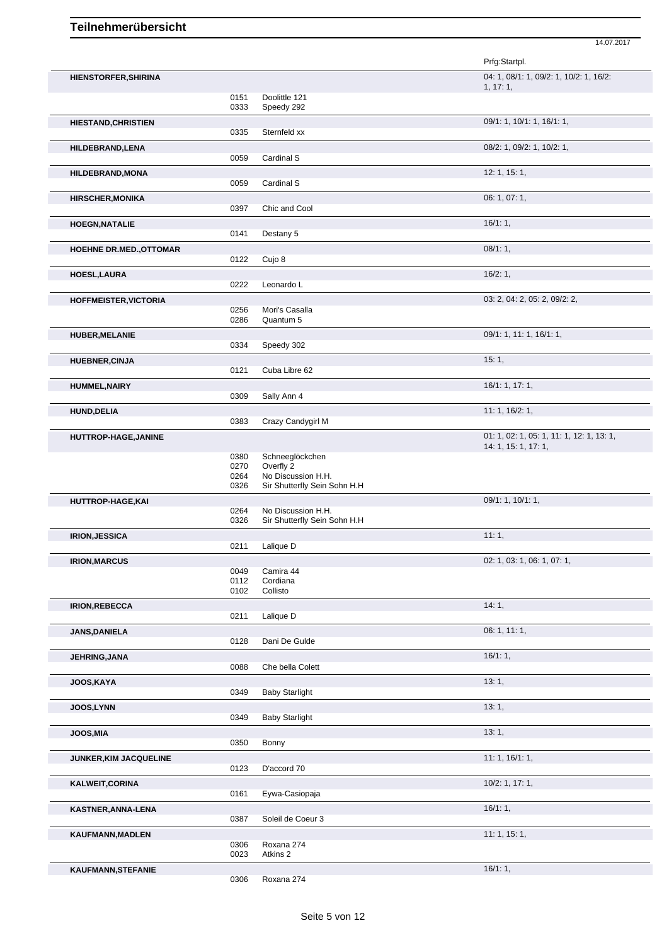|                                |              |                                 | Prfg:Startpl.                                                     |
|--------------------------------|--------------|---------------------------------|-------------------------------------------------------------------|
| HIENSTORFER, SHIRINA           |              |                                 | 04: 1, 08/1: 1, 09/2: 1, 10/2: 1, 16/2:<br>1, 17:1,               |
|                                | 0151         | Doolittle 121                   |                                                                   |
|                                | 0333         | Speedy 292                      |                                                                   |
| <b>HIESTAND, CHRISTIEN</b>     | 0335         | Sternfeld xx                    | 09/1: 1, 10/1: 1, 16/1: 1,                                        |
| HILDEBRAND, LENA               |              |                                 | 08/2: 1, 09/2: 1, 10/2: 1,                                        |
|                                | 0059         | Cardinal S                      |                                                                   |
| <b>HILDEBRAND, MONA</b>        | 0059         | Cardinal S                      | 12: 1, 15: 1,                                                     |
| <b>HIRSCHER, MONIKA</b>        |              |                                 | 06: 1, 07: 1,                                                     |
|                                | 0397         | Chic and Cool                   |                                                                   |
| <b>HOEGN, NATALIE</b>          |              |                                 | 16/1:1,                                                           |
|                                | 0141         | Destany 5                       |                                                                   |
| <b>HOEHNE DR.MED., OTTOMAR</b> | 0122         | Cujo 8                          | 08/1:1,                                                           |
| HOESL, LAURA                   |              |                                 | 16/2:1,                                                           |
|                                | 0222         | Leonardo L                      |                                                                   |
| <b>HOFFMEISTER, VICTORIA</b>   |              |                                 | 03: 2, 04: 2, 05: 2, 09/2: 2,                                     |
|                                | 0256<br>0286 | Mori's Casalla<br>Quantum 5     |                                                                   |
| <b>HUBER, MELANIE</b>          |              |                                 | 09/1: 1, 11: 1, 16/1: 1,                                          |
|                                | 0334         | Speedy 302                      |                                                                   |
| <b>HUEBNER, CINJA</b>          |              |                                 | 15:1,                                                             |
|                                | 0121         | Cuba Libre 62                   | 16/1: 1, 17: 1,                                                   |
| <b>HUMMEL, NAIRY</b>           | 0309         | Sally Ann 4                     |                                                                   |
| <b>HUND, DELIA</b>             |              |                                 | 11: 1, 16/2: 1,                                                   |
|                                | 0383         | Crazy Candygirl M               |                                                                   |
| HUTTROP-HAGE, JANINE           |              |                                 | 01: 1, 02: 1, 05: 1, 11: 1, 12: 1, 13: 1,<br>14: 1, 15: 1, 17: 1, |
|                                | 0380         | Schneeglöckchen                 |                                                                   |
|                                | 0270<br>0264 | Overfly 2<br>No Discussion H.H. |                                                                   |
|                                | 0326         | Sir Shutterfly Sein Sohn H.H    |                                                                   |
| HUTTROP-HAGE, KAI              |              | No Discussion H.H.              | 09/1: 1, 10/1: 1,                                                 |
|                                | 0264<br>0326 | Sir Shutterfly Sein Sohn H.H    |                                                                   |
| <b>IRION, JESSICA</b>          |              |                                 | 11:1,                                                             |
|                                | 0211         | Lalique D                       |                                                                   |
| <b>IRION, MARCUS</b>           | 0049         | Camira 44                       | 02: 1, 03: 1, 06: 1, 07: 1,                                       |
|                                | 0112         | Cordiana                        |                                                                   |
|                                | 0102         | Collisto                        |                                                                   |
| <b>IRION, REBECCA</b>          | 0211         | Lalique D                       | 14:1,                                                             |
| <b>JANS, DANIELA</b>           |              |                                 | 06: 1, 11: 1,                                                     |
|                                | 0128         | Dani De Gulde                   |                                                                   |
| JEHRING, JANA                  | 0088         | Che bella Colett                | 16/1:1,                                                           |
| <b>JOOS,KAYA</b>               |              |                                 | 13:1,                                                             |
|                                | 0349         | <b>Baby Starlight</b>           |                                                                   |
| JOOS, LYNN                     |              |                                 | 13:1,                                                             |
|                                | 0349         | <b>Baby Starlight</b>           |                                                                   |
| <b>JOOS,MIA</b>                | 0350         | Bonny                           | 13:1,                                                             |
| <b>JUNKER, KIM JACQUELINE</b>  |              |                                 | 11: 1, 16/1: 1,                                                   |
|                                | 0123         | D'accord 70                     |                                                                   |
| KALWEIT, CORINA                |              |                                 | $10/2$ : 1, 17: 1,                                                |
|                                | 0161         | Eywa-Casiopaja                  |                                                                   |
| KASTNER, ANNA-LENA             | 0387         | Soleil de Coeur 3               | 16/1:1,                                                           |
| KAUFMANN, MADLEN               |              |                                 | 11: 1, 15: 1,                                                     |
|                                | 0306         | Roxana 274                      |                                                                   |
|                                | 0023         | Atkins 2                        |                                                                   |
| KAUFMANN, STEFANIE             | 0306         | Roxana 274                      | 16/1:1,                                                           |
|                                |              |                                 |                                                                   |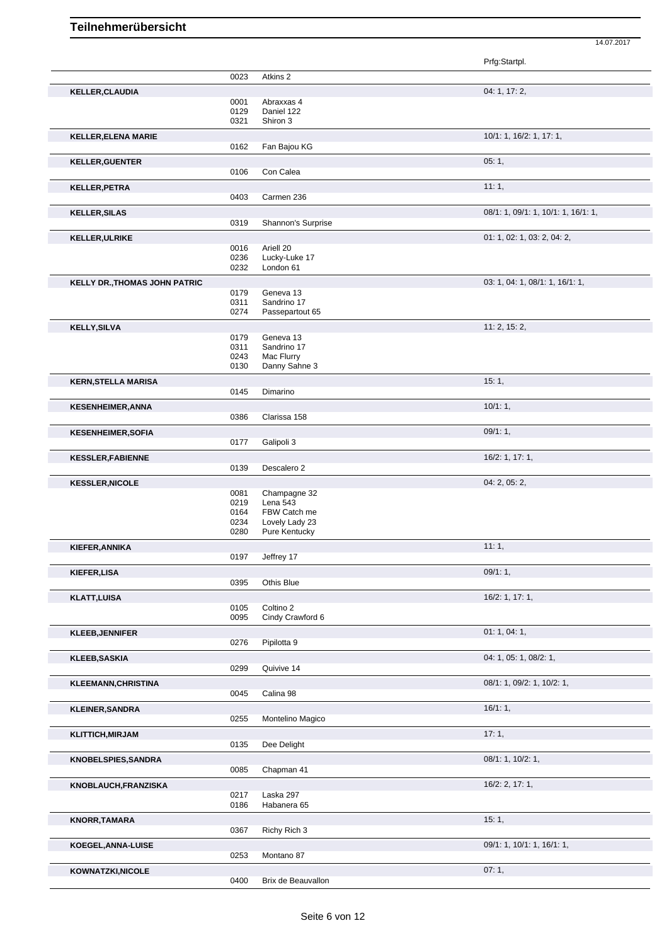|                               |              |                                | Prfg:Startpl.                       |
|-------------------------------|--------------|--------------------------------|-------------------------------------|
|                               | 0023         | Atkins 2                       |                                     |
| <b>KELLER, CLAUDIA</b>        |              |                                | 04: 1, 17: 2,                       |
|                               | 0001         | Abraxxas 4                     |                                     |
|                               | 0129<br>0321 | Daniel 122<br>Shiron 3         |                                     |
|                               |              |                                | 10/1: 1, 16/2: 1, 17: 1,            |
| <b>KELLER, ELENA MARIE</b>    | 0162         | Fan Bajou KG                   |                                     |
| <b>KELLER, GUENTER</b>        |              |                                | 05:1,                               |
|                               | 0106         | Con Calea                      |                                     |
| <b>KELLER, PETRA</b>          |              |                                | 11:1,                               |
|                               | 0403         | Carmen 236                     |                                     |
| <b>KELLER, SILAS</b>          |              |                                | 08/1: 1, 09/1: 1, 10/1: 1, 16/1: 1, |
|                               | 0319         | Shannon's Surprise             |                                     |
| <b>KELLER, ULRIKE</b>         |              |                                | 01: 1, 02: 1, 03: 2, 04: 2,         |
|                               | 0016         | Ariell 20                      |                                     |
|                               | 0236<br>0232 | Lucky-Luke 17<br>London 61     |                                     |
| KELLY DR., THOMAS JOHN PATRIC |              |                                | 03: 1, 04: 1, 08/1: 1, 16/1: 1,     |
|                               | 0179         | Geneva 13                      |                                     |
|                               | 0311         | Sandrino 17                    |                                     |
|                               | 0274         | Passepartout 65                |                                     |
| <b>KELLY, SILVA</b>           |              |                                | 11: 2, 15: 2,                       |
|                               | 0179<br>0311 | Geneva 13<br>Sandrino 17       |                                     |
|                               | 0243         | Mac Flurry                     |                                     |
|                               | 0130         | Danny Sahne 3                  |                                     |
| <b>KERN, STELLA MARISA</b>    |              |                                | 15:1,                               |
|                               | 0145         | Dimarino                       |                                     |
| <b>KESENHEIMER, ANNA</b>      |              |                                | 10/1:1,                             |
|                               | 0386         | Clarissa 158                   |                                     |
| <b>KESENHEIMER, SOFIA</b>     | 0177         | Galipoli 3                     | 09/1:1,                             |
|                               |              |                                |                                     |
| <b>KESSLER, FABIENNE</b>      | 0139         | Descalero 2                    | 16/2: 1, 17: 1,                     |
| <b>KESSLER, NICOLE</b>        |              |                                | 04: 2, 05: 2,                       |
|                               | 0081         | Champagne 32                   |                                     |
|                               | 0219         | Lena 543                       |                                     |
|                               | 0164<br>0234 | FBW Catch me<br>Lovely Lady 23 |                                     |
|                               | 0280         | Pure Kentucky                  |                                     |
| KIEFER, ANNIKA                |              |                                | 11:1,                               |
|                               | 0197         | Jeffrey 17                     |                                     |
| KIEFER, LISA                  |              |                                | 09/1:1,                             |
|                               | 0395         | Othis Blue                     |                                     |
| <b>KLATT, LUISA</b>           |              |                                | 16/2: 1, 17: 1,                     |
|                               | 0105         | Coltino 2                      |                                     |
|                               | 0095         | Cindy Crawford 6               |                                     |
| <b>KLEEB, JENNIFER</b>        | 0276         | Pipilotta 9                    | 01:1,04:1,                          |
|                               |              |                                |                                     |
| <b>KLEEB, SASKIA</b>          | 0299         | Quivive 14                     | 04: 1, 05: 1, 08/2: 1,              |
|                               |              |                                | 08/1: 1, 09/2: 1, 10/2: 1,          |
| <b>KLEEMANN, CHRISTINA</b>    | 0045         | Calina 98                      |                                     |
| <b>KLEINER, SANDRA</b>        |              |                                | 16/1:1,                             |
|                               | 0255         | Montelino Magico               |                                     |
| <b>KLITTICH,MIRJAM</b>        |              |                                | 17:1,                               |
|                               | 0135         | Dee Delight                    |                                     |
| <b>KNOBELSPIES,SANDRA</b>     |              |                                | 08/1: 1, 10/2: 1,                   |
|                               | 0085         | Chapman 41                     |                                     |
| KNOBLAUCH, FRANZISKA          |              |                                | 16/2: 2, 17: 1,                     |
|                               | 0217         | Laska 297                      |                                     |
|                               | 0186         | Habanera 65                    |                                     |
| <b>KNORR, TAMARA</b>          |              |                                | 15:1,                               |
|                               | 0367         | Richy Rich 3                   |                                     |
| KOEGEL, ANNA-LUISE            |              |                                | 09/1: 1, 10/1: 1, 16/1: 1,          |
|                               | 0253         | Montano 87                     |                                     |
| KOWNATZKI, NICOLE             | 0400         | Brix de Beauvallon             | 07:1,                               |
|                               |              |                                |                                     |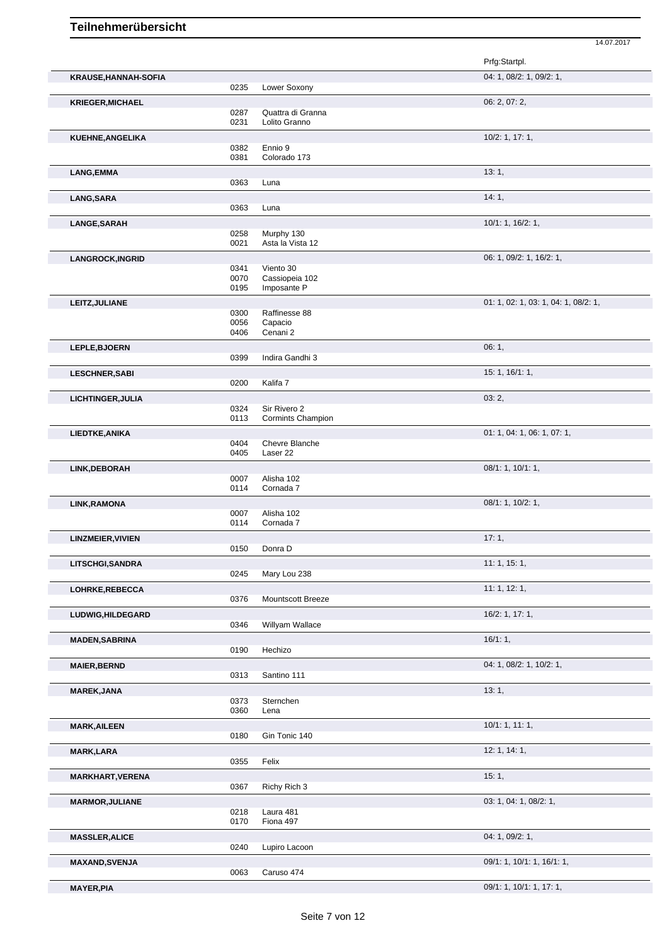Prfg:Startpl. **KRAUSE,HANNAH-SOFIA** 04: 1, 08/2: 1, 09/2: 1, 0235 Lower Soxony **KRIEGER, MICHAEL 06: 2, 07: 2, 07: 2, 07: 2, 07: 2, 07: 2, 07: 2, 07: 2, 07: 2, 07: 2, 07: 2, 07: 2, 07: 2, 07: 2, 07: 2, 07: 2, 07: 2, 07: 2, 07: 2, 07: 2, 07: 2, 07: 2, 07: 2, 07: 2, 07: 2, 07: 2, 07: 2, 07: 2, 07: 2, 0** 0287 Quattra di Granna<br>0231 Lolito Granno Lolito Granno **KUEHNE,ANGELIKA** 10/2: 1, 17: 1, 0382 Ennio 9<br>0381 Colorad Colorado 173 **LANG,EMMA** 13: 1, 2006) 13: 1, 2006 13: 1, 2006 13: 1, 2006 13: 1, 2006 13: 1, 2007 14: 2008 14: 2008 14: 2008 14: 2008 14: 2009 15: 2008 15: 2009 15: 2008 15: 2009 15: 2009 15: 2009 15: 2009 15: 2009 15: 2009 15: 2009 15 Luna **LANG,SARA** 14: 1, 0363 Luna **LANGE,SARAH** 10/1: 1, 16/2: 1, 0258 Murphy 130 0021 Asta la Vista 12 **LANGROCK,INGRID** 06: 1, 09/2: 1, 16/2: 1, 09/2: 1, 16/2: 1, 09/2: 1, 16/2: 1, 09/2: 1, 16/2: 1, 09/2: 1, 16/2: 1, 0341 Viento 30<br>0070 Cassionei 0070 Cassiopeia 102 0195 Imposante P **LEITZ, JULIANE** 0300 Raffinesse 88 01: 1, 02: 1, 03: 1, 04: 1, 08/2: 1, 03: 1, 04: 1, 08/2: 1, 03: 1, 04: 1, 08/2: 1, 0300 Raffinesse 88 0056 Capacio<br>0406 Cenani 2 Cenani 2 **LEPLE,BJOERN** 06: 1, 0399 Indira Gandhi 3 Indira Gandhi 3 **LESCHNER,SABI** 15: 1, 16/1: 1, 0200 Kalifa 7 **LICHTINGER, JULIA** 03: 2, 03: 2, 03: 2, 03: 2, 03: 2, 03: 2, 03: 2, 03: 2, 03: 2, 03: 2, 03: 2, 03: 2, 03: 2, 03: 2, 03: 2, 03: 2, 03: 2, 03: 2, 03: 2, 03: 2, 03: 2, 03: 2, 03: 2, 03: 0, 0, 0, 0, 0, 0, 0, 0, 0, 0, 0, 0, 0 0324 Sir Rivero 2<br>0113 Cormints Ch Cormints Champion **LIEDTKE,ANIKA** 01: 1, 04: 1, 06: 1, 07: 1, 04: 1, 06: 1, 07: 1, 04: 1, 06: 1, 07: 1, 04: 1, 06: 1, 07: 1, 04: 1, 06: 1, 07: 1, 04: 0404 0404 Chevre Blanche<br>0405 Laser 22 Laser 22 **LINK,DEBORAH** 08/1: 1, 10/1: 1, 0007 Alisha 102<br>0114 Cornada 7 Cornada 7 **LINK,RAMONA** 08/1: 1, 10/2: 1, Alisha 102 0114 Cornada 7 **LINZMEIER,VIVIEN** 17: 1, 0150 Donra D **LITSCHGI,SANDRA** 11: 1, 15: 1, 0245 Mary Lou 238 **LOHRKE,REBECCA** 11: 1, 12: 1, 0376 Mountscott Breeze 11: 1, 12: 1, 11: 1, 12: 1, Mountscott Breeze **LUDWIG,HILDEGARD** 16/2: 1, 17: 1, Willyam Wallace **MADEN,SABRINA** 16/1: 1, Hechizo **MAIER,BERND** 04: 1, 08/2: 1, 10/2: 1, Santino 111 **MAREK,JANA** 13: 1, 0373 Sternchen 0360 Lena **MARK,AILEEN** 10/1: 1, 11: 1, 0180 Gin Tonic 140 **MARK,LARA** 12: 1, 14: 1, 0355 Felix **MARKHART,VERENA** 15: 1, 0367 Richy Rich 3 **MARMOR,JULIANE** 03: 1, 04: 1, 08/2: 1, 0218 Laura 481<br>0170 Fiona 497 Fiona 497 **MASSLER, ALICE** 0240 Lupiro Lacoon 04: 1, 09/2: 1, Lupiro Lacoon **MAXAND,SVENJA** 09/1: 1, 16/1: 1, 16/1: 1, 16/1: 1, 16/1: 1, 16/1: 1, 16/1: 1, 16/1: 1, 16/1: 1, 16/1: 1, 16/1: 1, 16/1: 1, 16/1: 1, 16/1: 1, 10/1: 1, 16/1: 1, 10/1: 1, 16/1: 1, 10/1: 1, 16/1: 1, 16/1: 1, 16/1: 1, 16/1: 1,

14.07.2017

**MAYER, PIA** 09/1: 1, 10/1: 1, 17: 1,

Caruso 474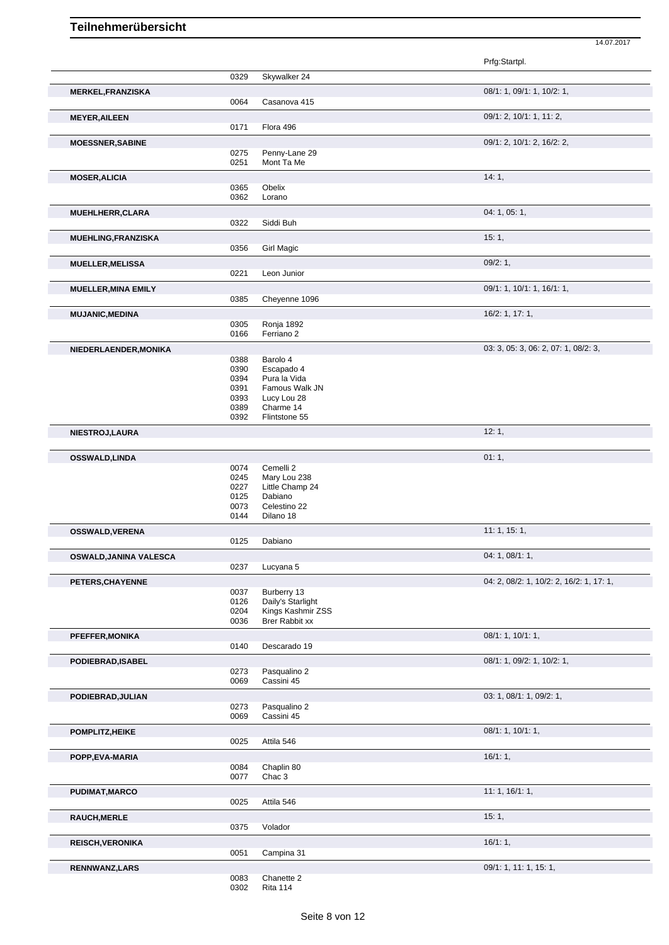Prfg:Startpl. 0329 Skywalker 24 **MERKEL,FRANZISKA** 08/1: 1, 09/1: 1, 10/2: 1, 0064 Casanova 415 **MEYER,AILEEN** 09/1: 2, 10/1: 1, 11: 2, 0171 Flora 496 **MOESSNER,SABINE** 09/1: 2, 10/1: 2, 16/2: 2, 0275 Penny-Lane 29<br>0251 Mont Ta Me Mont Ta Me **MOSER, ALICIA** 14: 1, 2004, 2005, 2005, 2006, 2006, 2007, 2006, 2007, 2008, 2007, 2008, 2008, 2009, 2009, 2009, 2009, 2009, 2009, 2009, 2009, 2009, 2009, 2009, 2009, 2009, 2009, 2009, 2009, 2009, 2009, 2009, 2009, 2009, 2 **Obelix** 0362 Lorano **MUEHLHERR,CLARA** 04: 1, 05: 1, 0322 Siddi Buh **MUEHLING,FRANZISKA** 15: 1, 2006 15: 1, 2006 15: 1, 2006 15: 1, 2006 15: 1, 2006 15: 1, 2006 15: 1, 2006 15: 1, 2006 15: 1, 2006 15: 1, 2006 15: 2007 15: 2007 15: 2007 15: 2007 15: 2007 15: 2007 15: 2007 15: 2007 15: 2007 **Girl Magic MUELLER,MELISSA** 09/2: 1,<br>
09/2: 1, 09/2: 1, 0221 Leon Junior Leon Junior **MUELLER,MINA EMILY** 0385 Chevenne 1096 **CONSERVING CONSERVERY 09/1: 1, 10/1: 1, 16/1: 1,** Cheyenne 1096 **MUJANIC,MEDINA** 16/2: 1, 17: 1, 0305 Ronja 1892 Ferriano 2 **NIEDERLAENDER,MONIKA** 03:88 Barolo 4 03:3, 05: 3, 06: 2, 07: 1, 08/2: 3, 0388 Barolo 4<br>0390 Escapad 0390 Escapado 4<br>0394 Pura la Vida 0394 Pura la Vida<br>0391 Famous Wal 0391 Famous Walk JN<br>0393 Lucy Lou 28 0393 Lucy Lou 28<br>0389 Charme 14 Charme 14 0392 Flintstone 55 **NIESTROJ,LAURA** 12: 1, **OSSWALD,LINDA** 01: 1, 00: 1, 00: 1, 00: 1, 00: 1, 00: 1, 00: 1, 00: 1, 00: 1, 00: 1, 00: 1, 00: 1, 00: 1, 00: 1, 00: 1, 00: 1, 00: 1, 00: 1, 00: 1, 00: 1, 00: 1, 00: 1, 00: 1, 00: 00: 1, 00: 00: 00: 00: 00: 00: 00: 00: 00 0074 Cemelli 2<br>0245 Mary Lou Mary Lou 238 0227 Little Champ 24 0125 Dabiano 0073 Celestino 22<br>0144 Dilano 18 Dilano 18 **OSSWALD,VERENA** 11: 1, 15: 1, Dabiano **OSWALD,JANINA VALESCA** 0237 Lucyana 5 04: 1, 08/1: 1, 08/1: 1, 08/1: 1, 08/1: 1, 08/1: 1, 08/1: 1, 09/1: 1, 09/1: 1, 09/1: 1, 09/1: 1, 09/1: 1, 09/1: 1, 09/1: 1, 09/1: 1, 09/1: 1, 09/1: 1, 09/1: 1, 09/1: 0, 0, 0, 0, 0, 0, Lucyana 5 **PETERS, CHAYENNE** 0037 Burberry 13<br>
0037 Burberry 13 0037 Burberry 13<br>0126 Daily's Starli 0126 Daily's Starlight<br>0204 Kings Kashmir Z Kings Kashmir ZSS 0036 Brer Rabbit xx **PFEFFER,MONIKA** 08/1: 1, 10/1: 1, 0140 Descarado 19 **PODIEBRAD,ISABEL** 0273 Pasqualino 2 0273 Pasqualino 2 0273 Pasqualino 2<br>0069 Cassini 45 Cassini 45 **PODIEBRAD, JULIAN** 09/2: 1, 09/2: 1, 09/2: 1, 09/2: 1, 09/2: 1, 09/2: 1, 09/2: 1, 09/2: 1, 09/2: 1, 09/2: 1, 09/2: 1, 09/2: 1, 09/2: 1, 09/2: 1, 09/2: 1, 09/2: 1, 09/2: 1, 09/2: 1, 09/2: 1, 09/2: 1, 09/2: 1, 09/2: 1, 09/2 Pasqualino 2 0069 Cassini 45 **POMPLITZ,HEIKE** 08/1: 1, 10/1: 1, 0025 Attila 546 **POPP,EVA-MARIA** 16/1: 1, 0084 Chaplin 80 0077 Chac 3 **PUDIMAT,MARCO** 11: 1, 16/1: 1, 0025 Attila 546 **RAUCH,MERLE** 15: 1, 0375 Volador **REISCH, VERONIKA** 16/1: 1, 20051 Campina 31 Campina 31 **RENNWANZ,LARS** 09/1: 1, 11: 1, 15: 1, 09/1: 1, 11: 1, 15: 1, 09/1: 1, 11: 1, 15: 1,

14.07.2017

Chanette 2 0302 Rita 114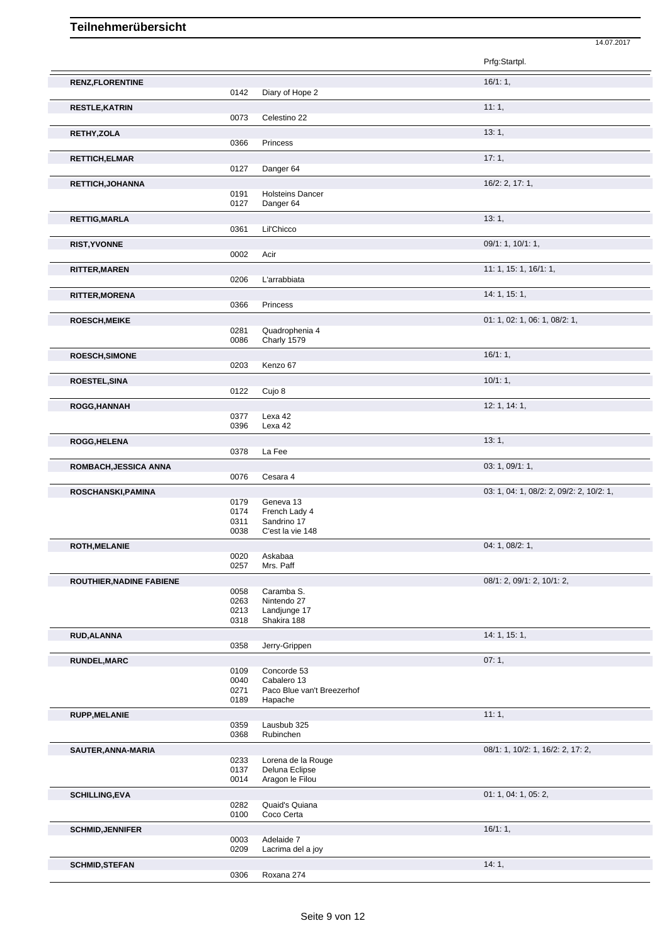|                                 |              |                                           | Prfg:Startpl.                            |
|---------------------------------|--------------|-------------------------------------------|------------------------------------------|
| <b>RENZ,FLORENTINE</b>          |              |                                           | 16/1:1,                                  |
|                                 | 0142         | Diary of Hope 2                           |                                          |
| <b>RESTLE, KATRIN</b>           |              |                                           | 11:1,                                    |
|                                 | 0073         | Celestino 22                              |                                          |
| RETHY, ZOLA                     |              |                                           | 13:1,                                    |
|                                 | 0366         | Princess                                  |                                          |
| <b>RETTICH, ELMAR</b>           |              |                                           | 17:1,                                    |
|                                 | 0127         | Danger 64                                 |                                          |
| RETTICH, JOHANNA                |              |                                           | 16/2: 2, 17: 1,                          |
|                                 | 0191         | <b>Holsteins Dancer</b><br>Danger 64      |                                          |
|                                 | 0127         |                                           |                                          |
| <b>RETTIG, MARLA</b>            | 0361         | Lil'Chicco                                | 13:1,                                    |
|                                 |              |                                           | 09/1: 1, 10/1: 1,                        |
| <b>RIST, YVONNE</b>             | 0002         | Acir                                      |                                          |
|                                 |              |                                           | 11: 1, 15: 1, 16/1: 1,                   |
| <b>RITTER, MAREN</b>            | 0206         | L'arrabbiata                              |                                          |
| <b>RITTER, MORENA</b>           |              |                                           | 14: 1, 15: 1,                            |
|                                 | 0366         | Princess                                  |                                          |
| <b>ROESCH, MEIKE</b>            |              |                                           | 01: 1, 02: 1, 06: 1, 08/2: 1,            |
|                                 | 0281         | Quadrophenia 4                            |                                          |
|                                 | 0086         | Charly 1579                               |                                          |
| <b>ROESCH, SIMONE</b>           |              |                                           | $16/1:1$ ,                               |
|                                 | 0203         | Kenzo 67                                  |                                          |
| <b>ROESTEL, SINA</b>            | 0122         |                                           | 10/1:1,                                  |
|                                 |              | Cujo 8                                    |                                          |
| <b>ROGG,HANNAH</b>              | 0377         | Lexa 42                                   | 12: 1, 14: 1,                            |
|                                 | 0396         | Lexa 42                                   |                                          |
| ROGG, HELENA                    |              |                                           | 13:1,                                    |
|                                 | 0378         | La Fee                                    |                                          |
| ROMBACH, JESSICA ANNA           |              |                                           | 03: 1, 09/1: 1,                          |
|                                 | 0076         | Cesara 4                                  |                                          |
| ROSCHANSKI, PAMINA              |              |                                           | 03: 1, 04: 1, 08/2: 2, 09/2: 2, 10/2: 1, |
|                                 | 0179<br>0174 | Geneva 13<br>French Lady 4                |                                          |
|                                 | 0311         | Sandrino 17                               |                                          |
|                                 | 0038         | C'est la vie 148                          |                                          |
| <b>ROTH, MELANIE</b>            |              |                                           | 04: 1, 08/2: 1,                          |
|                                 | 0020<br>0257 | Askabaa<br>Mrs. Paff                      |                                          |
| <b>ROUTHIER, NADINE FABIENE</b> |              |                                           | 08/1: 2, 09/1: 2, 10/1: 2,               |
|                                 | 0058         | Caramba S.                                |                                          |
|                                 | 0263<br>0213 | Nintendo 27<br>Landjunge 17               |                                          |
|                                 | 0318         | Shakira 188                               |                                          |
| RUD, ALANNA                     |              |                                           | 14: 1, 15: 1,                            |
|                                 | 0358         | Jerry-Grippen                             |                                          |
| <b>RUNDEL, MARC</b>             |              |                                           | 07:1,                                    |
|                                 | 0109         | Concorde 53                               |                                          |
|                                 | 0040<br>0271 | Cabalero 13<br>Paco Blue van't Breezerhof |                                          |
|                                 | 0189         | Hapache                                   |                                          |
| <b>RUPP, MELANIE</b>            |              |                                           | 11:1,                                    |
|                                 | 0359         | Lausbub 325                               |                                          |
|                                 | 0368         | Rubinchen                                 |                                          |
| SAUTER, ANNA-MARIA              | 0233         | Lorena de la Rouge                        | 08/1: 1, 10/2: 1, 16/2: 2, 17: 2,        |
|                                 | 0137         | Deluna Eclipse                            |                                          |
|                                 | 0014         | Aragon le Filou                           |                                          |
| <b>SCHILLING, EVA</b>           |              |                                           | 01: 1, 04: 1, 05: 2,                     |
|                                 | 0282<br>0100 | Quaid's Quiana<br>Coco Certa              |                                          |
|                                 |              |                                           | 16/1:1,                                  |
| <b>SCHMID, JENNIFER</b>         | 0003         | Adelaide 7                                |                                          |
|                                 | 0209         | Lacrima del a joy                         |                                          |

14.07.2017

Seite 9 von 12

**SCHMID,STEFAN** 14: 1, 0306 Roxana 274 Roxana 274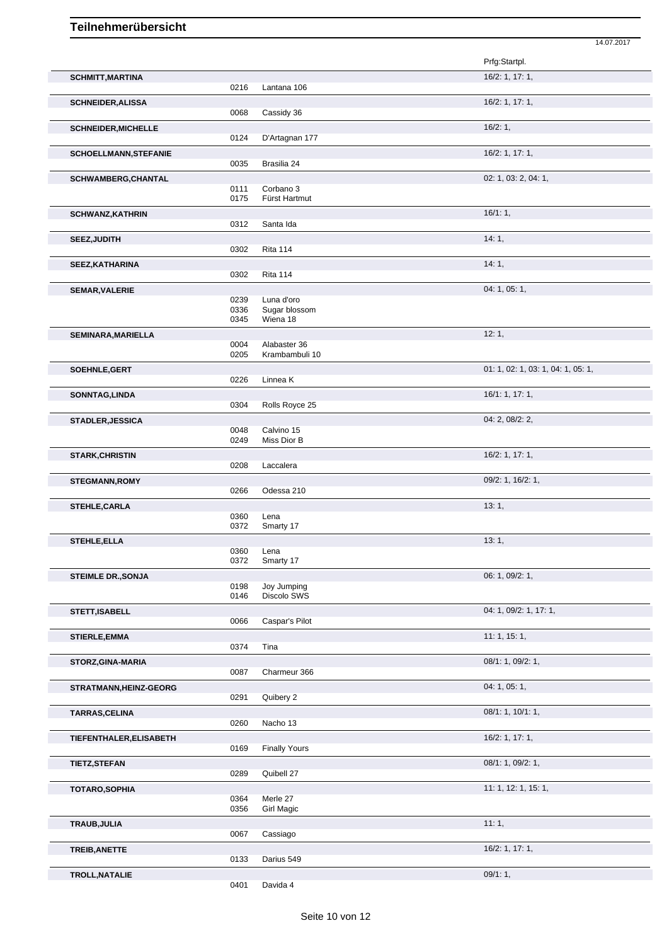|                              |                      |                                         | Prfg:Startpl.                      |
|------------------------------|----------------------|-----------------------------------------|------------------------------------|
| <b>SCHMITT, MARTINA</b>      | 0216                 | Lantana 106                             | 16/2: 1, 17: 1,                    |
| <b>SCHNEIDER, ALISSA</b>     | 0068                 | Cassidy 36                              | 16/2: 1, 17: 1,                    |
| <b>SCHNEIDER, MICHELLE</b>   | 0124                 | D'Artagnan 177                          | 16/2:1,                            |
| <b>SCHOELLMANN, STEFANIE</b> | 0035                 | Brasilia 24                             | 16/2: 1, 17: 1,                    |
| <b>SCHWAMBERG, CHANTAL</b>   |                      |                                         | 02: 1, 03: 2, 04: 1,               |
|                              | 0111<br>0175         | Corbano 3<br>Fürst Hartmut              |                                    |
| <b>SCHWANZ, KATHRIN</b>      | 0312                 | Santa Ida                               | 16/1:1,                            |
| SEEZ, JUDITH                 | 0302                 | <b>Rita 114</b>                         | 14:1,                              |
| SEEZ, KATHARINA              | 0302                 | <b>Rita 114</b>                         | 14:1,                              |
| <b>SEMAR, VALERIE</b>        | 0239<br>0336<br>0345 | Luna d'oro<br>Sugar blossom<br>Wiena 18 | 04: 1, 05: 1,                      |
| SEMINARA, MARIELLA           | 0004                 | Alabaster 36<br>Krambambuli 10          | 12:1,                              |
| SOEHNLE, GERT                | 0205                 |                                         | 01: 1, 02: 1, 03: 1, 04: 1, 05: 1, |
| SONNTAG, LINDA               | 0226                 | Linnea K                                | 16/1: 1, 17: 1,                    |
| <b>STADLER, JESSICA</b>      | 0304<br>0048         | Rolls Royce 25<br>Calvino 15            | 04: 2, 08/2: 2,                    |
| <b>STARK, CHRISTIN</b>       | 0249<br>0208         | Miss Dior B<br>Laccalera                | 16/2: 1, 17: 1,                    |
| <b>STEGMANN, ROMY</b>        | 0266                 | Odessa 210                              | 09/2: 1, 16/2: 1,                  |
| <b>STEHLE, CARLA</b>         | 0360<br>0372         | Lena<br>Smarty 17                       | 13:1,                              |
| <b>STEHLE, ELLA</b>          | 0360<br>0372         | Lena<br>Smarty 17                       | 13:1,                              |
| <b>STEIMLE DR., SONJA</b>    | 0198<br>0146         | Joy Jumping<br>Discolo SWS              | 06: 1, 09/2: 1,                    |
| STETT, ISABELL               | 0066                 | Caspar's Pilot                          | 04: 1, 09/2: 1, 17: 1,             |
| STIERLE, EMMA                | 0374                 | Tina                                    | 11: 1, 15: 1,                      |
| STORZ, GINA-MARIA            | 0087                 | Charmeur 366                            | 08/1: 1, 09/2: 1,                  |
| STRATMANN, HEINZ-GEORG       | 0291                 | Quibery 2                               | 04: 1, 05: 1,                      |
| TARRAS, CELINA               | 0260                 | Nacho 13                                | 08/1: 1, 10/1: 1,                  |
| TIEFENTHALER, ELISABETH      | 0169                 | <b>Finally Yours</b>                    | 16/2: 1, 17: 1,                    |
| <b>TIETZ, STEFAN</b>         | 0289                 | Quibell 27                              | 08/1: 1, 09/2: 1,                  |
| <b>TOTARO, SOPHIA</b>        | 0364<br>0356         | Merle 27<br>Girl Magic                  | 11: 1, 12: 1, 15: 1,               |
| TRAUB, JULIA                 | 0067                 | Cassiago                                | 11:1,                              |
| TREIB, ANETTE                | 0133                 | Darius 549                              | 16/2: 1, 17: 1,                    |
| TROLL, NATALIE               | 0401                 | Davida 4                                | 09/1:1,                            |

14.07.2017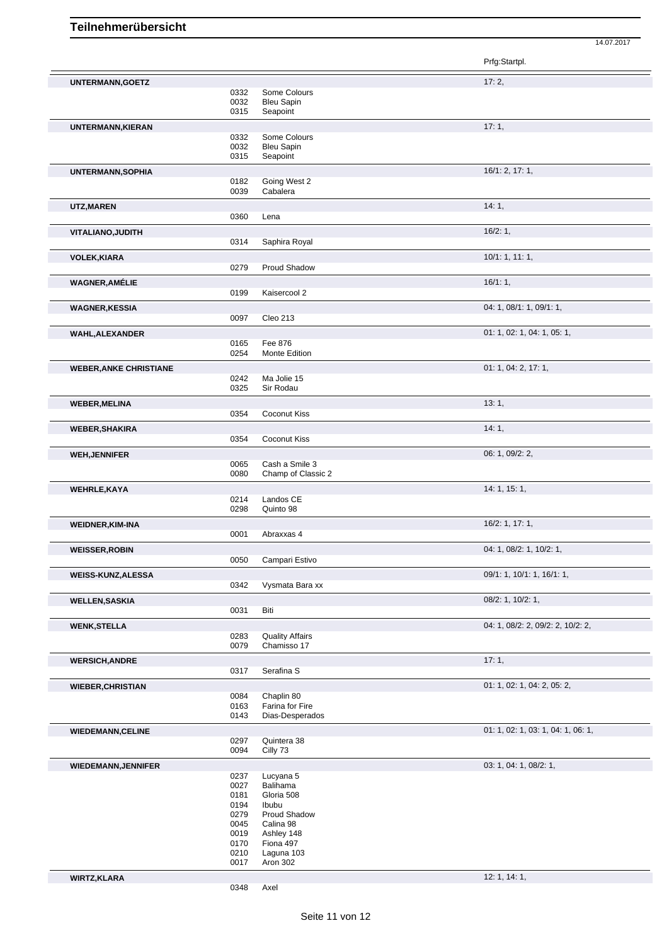Prfg:Startpl. **UNTERMANN, GOETZ** 17: 2, 0332 Some Colours Some Colours 0032 Bleu Sapin<br>0315 Seapoint Seapoint **UNTERMANN.KIERAN** 17: 1, 0332 Some Colours 0032 Bleu Sapin 0315 Seapoint **UNTERMANN,SOPHIA** 16/1: 2, 17: 1, 0182 Going West 2 0039 Cabalera **UTZ,MAREN** 14: 1, 0360 Lena **VITALIANO,JUDITH** 16/2: 1, 0314 Saphira Royal **VOLEK,KIARA** 10/1: 1, 11: 1, 0279 Proud Shadow **WAGNER,AMÉLIE** 16/1: 1, 16/1: 1, 16/1: 1, 199 Kaisercool 2 Kaisercool 2 **WAGNER, KESSIA** 04: 1, 08/1: 1, 09/1: 1, 09/1: 1, 09/1: 1, 09/1: 1, 09/1: 1, 09/1: 1, 09/1: 1, 09/1: 1, 09/1: 1, 09/1: 1, 09/1: 1, 09/1: 1, 09/1: 1, 09/1: 1, 09/1: 1, 09/1: 1, 09/1: 1, 09/1: 1, 09/1: 1, 09/1: 1, 09/1: 1, Cleo 213 **WAHL,ALEXANDER** 01: 1, 05: 1, 05: 1, 05: 1, 05: 1, 05: 1, 05: 1, 05: 1, 05: 1, 05: 1, 05: 1, 05: 1, 05: 1, 05: 1, 05: 1, 05: 1, 05: 1, 05: 1, 05: 1, 05: 1, 05: 1, 05: 1, 05: 1, 05: 1, 05: 1, 05: 1, 05: 1, 05: 1, 05: 1, 05 0165 Fee 876<br>0254 Monte E Monte Edition **WEBER,ANKE CHRISTIANE** 01: 1, 04: 2, 17: 1, 0242 Ma Jolie 15<br>0325 Sir Rodau Sir Rodau **WEBER,MELINA** 13: 1, **Coconut Kiss WEBER, SHAKIRA 14: 1, 2008 14: 1, 2008 14: 1, 2008 14: 1, 2008 14: 1, 2008 14: 1, 2008 14: 1, 2008 14: 1, 2008 14: 1, 2008 14: 1, 2008 14: 1, 2008 14: 1, 2008 14: 1, 2008 14: 1, 2008 14: 1, 2008 14: 1, 2008 14: 1, 2008 14** 0354 Coconut Kiss **WEH,JENNIFER** 06: 1, 09/2: 2, 0065 Cash a Smile 3 0080 Champ of Classic 2 **WEHRLE,KAYA** 14: 1, 15: 1, 0214 Landos CE 0298 Quinto 98 **WEIDNER,KIM-INA** 16/2: 1, 17: 1, 0001 Abraxxas 4 **WEISSER,ROBIN** 04: 1, 08/2: 1, 10/2: 1, 0050 Campari Estivo **WEISS-KUNZ,ALESSA** 09/1: 1, 10/1: 1, 16/1: 1, 0342 Vysmata Bara xx **WELLEN,SASKIA** 08/2: 1, 10/2: 1, 0031 **WENK,STELLA** 04: 1, 08/2: 2, 09/2: 2, 10/2: 2, 0283 Quality Affairs<br>0079 Chamisso 17 Chamisso 17 **WERSICH,ANDRE** 17: 1, 2004 17: 1, 2004 17: 1, 2004 17: 1, 2004 17: 2, 2004 17: 2, 2004 17: 2, 2004 17: 2, 2004 17: 2, 2004 17: 2, 2004 17: 2, 2004 17: 2, 2004 17: 2, 2004 17: 2, 2004 17: 2, 2004 17: 2, 2, 2, 2, 2, 2, 2, 2 Serafina S **WIEBER, CHRISTIAN** 01: 1, 02: 1, 04: 2, 05: 2, 06: 2, 06: 2, 06: 2, 06: 2, 05: 2, 05: 2, 05: 2, 05: 2, 05: 2, 05: 2, 05: 2, 05: 2, 05: 2, 05: 2, 05: 2, 05: 2, 05: 2, 05: 2, 05: 2, 05: 2, 05: 2, 05: 2, 05: 2, 05: 2, 05: 2, 0084 Chaplin 80<br>0163 Farina for F 0163 Farina for Fire<br>0143 Dias-Desperad Dias-Desperados **WIEDEMANN,CELINE** 0297 Quintera 38 0297 Quintera 38 01: 1, 02: 1, 03: 1, 03: 1, 04: 1, 06: 1, 0297 Quintera 38<br>0094 Cilly 73 Cilly 73 **WIEDEMANN,JENNIFER** 03: 1, 04: 1, 08/2: 1, 0237 Lucyana 5<br>0027 Balihama Balihama 0181 Gloria 508 0194 Ibubu 0279 Proud Shadow 0045 Calina 98

**WIRTZ,KLARA** 12: 1, 14: 1,

0348 Axel

0019 Ashley 148<br>0170 Fiona 497 0170 Fiona 497<br>0210 Laguna 10 Laguna 103

0017 Aron 302